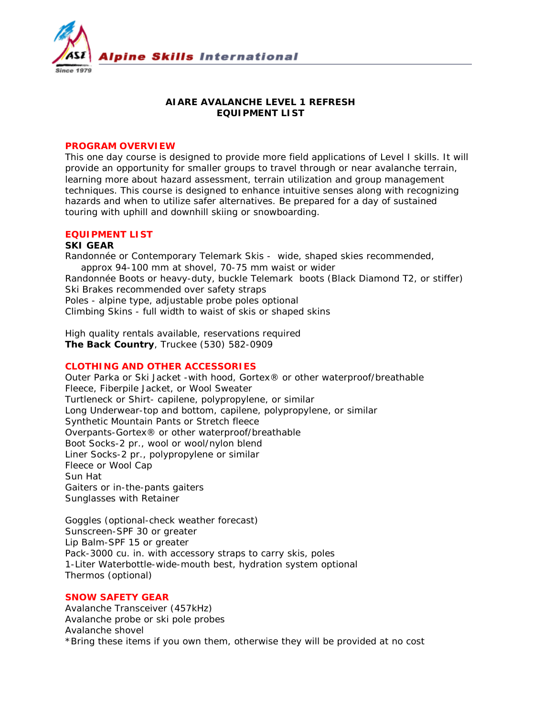

## **AIARE AVALANCHE LEVEL 1 REFRESH EQUIPMENT LIST**

#### **PROGRAM OVERVIEW**

This one day course is designed to provide more field applications of Level I skills. It will provide an opportunity for smaller groups to travel through or near avalanche terrain, learning more about hazard assessment, terrain utilization and group management techniques. This course is designed to enhance intuitive senses along with recognizing hazards and when to utilize safer alternatives. Be prepared for a day of sustained touring with uphill and downhill skiing or snowboarding.

# **EQUIPMENT LIST**

#### **SKI GEAR**

Randonnée or Contemporary Telemark Skis - wide, shaped skies recommended, approx 94-100 mm at shovel, 70-75 mm waist or wider Randonnée Boots or heavy-duty, buckle Telemark boots (Black Diamond T2, or stiffer) Ski Brakes recommended over safety straps Poles - alpine type, adjustable probe poles optional Climbing Skins - full width to waist of skis or shaped skins

*High quality rentals available, reservations required* **The Back Country**, Truckee (530) 582-0909

## **CLOTHING AND OTHER ACCESSORIES**

Outer Parka or Ski Jacket -with hood, Gortex® or other waterproof/breathable Fleece, Fiberpile Jacket, or Wool Sweater Turtleneck or Shirt- capilene, polypropylene, or similar Long Underwear-top and bottom, capilene, polypropylene, or similar Synthetic Mountain Pants or Stretch fleece Overpants-Gortex® or other waterproof/breathable Boot Socks-2 pr., wool or wool/nylon blend Liner Socks-2 pr., polypropylene or similar Fleece or Wool Cap Sun Hat Gaiters or in-the-pants gaiters Sunglasses with Retainer

Goggles (optional-check weather forecast) Sunscreen-SPF 30 or greater Lip Balm-SPF 15 or greater Pack-3000 cu. in. with accessory straps to carry skis, poles 1-Liter Waterbottle-wide-mouth best, hydration system optional Thermos (optional)

### **SNOW SAFETY GEAR**

Avalanche Transceiver (457kHz) Avalanche probe or ski pole probes Avalanche shovel \*Bring these items if you own them, otherwise they will be provided at no cost